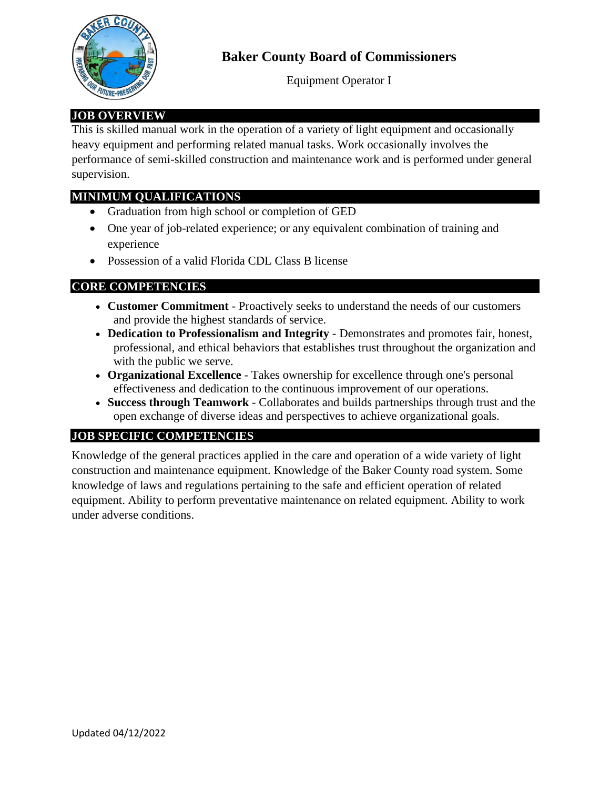

# **Baker County Board of Commissioners**

Equipment Operator I

## **JOB OVERVIEW**

This is skilled manual work in the operation of a variety of light equipment and occasionally heavy equipment and performing related manual tasks. Work occasionally involves the performance of semi-skilled construction and maintenance work and is performed under general supervision.

### **MINIMUM QUALIFICATIONS**

- Graduation from high school or completion of GED
- One year of job-related experience; or any equivalent combination of training and experience
- Possession of a valid Florida CDL Class B license

## **CORE COMPETENCIES**

- **Customer Commitment** Proactively seeks to understand the needs of our customers and provide the highest standards of service.
- **Dedication to Professionalism and Integrity** Demonstrates and promotes fair, honest, professional, and ethical behaviors that establishes trust throughout the organization and with the public we serve.
- **Organizational Excellence** Takes ownership for excellence through one's personal effectiveness and dedication to the continuous improvement of our operations.
- **Success through Teamwork** Collaborates and builds partnerships through trust and the open exchange of diverse ideas and perspectives to achieve organizational goals.

#### **JOB SPECIFIC COMPETENCIES**

Knowledge of the general practices applied in the care and operation of a wide variety of light construction and maintenance equipment. Knowledge of the Baker County road system. Some knowledge of laws and regulations pertaining to the safe and efficient operation of related equipment. Ability to perform preventative maintenance on related equipment. Ability to work under adverse conditions.